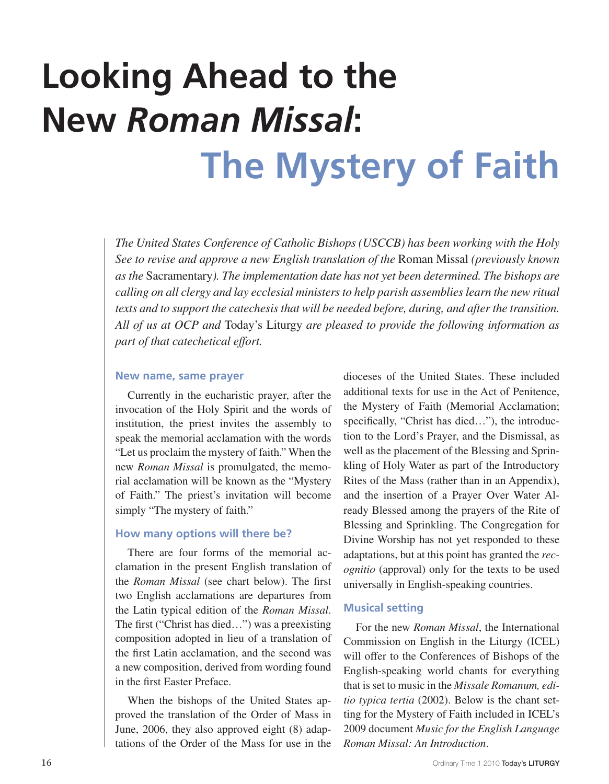## **Looking Ahead to the New** *Roman Missal***: The Mystery of Faith**

*The United States Conference of Catholic Bishops (USCCB) has been working with the Holy See to revise and approve a new English translation of the* Roman Missal *(previously known as the* Sacramentary*). The implementation date has not yet been determined. The bishops are calling on all clergy and lay ecclesial ministers to help parish assemblies learn the new ritual texts and to support the catechesis that will be needed before, during, and after the transition. All of us at OCP and* Today's Liturgy *are pleased to provide the following information as part of that catechetical effort.* 

## **New name, same prayer**

Currently in the eucharistic prayer, after the invocation of the Holy Spirit and the words of institution, the priest invites the assembly to speak the memorial acclamation with the words "Let us proclaim the mystery of faith." When the new *Roman Missal* is promulgated, the memorial acclamation will be known as the "Mystery of Faith." The priest's invitation will become simply "The mystery of faith."

## **How many options will there be?**

There are four forms of the memorial acclamation in the present English translation of the *Roman Missal* (see chart below). The first two English acclamations are departures from the Latin typical edition of the *Roman Missal*. The first ("Christ has died…") was a preexisting composition adopted in lieu of a translation of the first Latin acclamation, and the second was a new composition, derived from wording found in the first Easter Preface.

When the bishops of the United States approved the translation of the Order of Mass in June, 2006, they also approved eight (8) adaptations of the Order of the Mass for use in the dioceses of the United States. These included additional texts for use in the Act of Penitence, the Mystery of Faith (Memorial Acclamation; specifically, "Christ has died..."), the introduction to the Lord's Prayer, and the Dismissal, as well as the placement of the Blessing and Sprinkling of Holy Water as part of the Introductory Rites of the Mass (rather than in an Appendix), and the insertion of a Prayer Over Water Already Blessed among the prayers of the Rite of Blessing and Sprinkling. The Congregation for Divine Worship has not yet responded to these adaptations, but at this point has granted the *recognitio* (approval) only for the texts to be used universally in English-speaking countries.

## **Musical setting**

For the new *Roman Missal*, the International Commission on English in the Liturgy (ICEL) will offer to the Conferences of Bishops of the English-speaking world chants for everything that isset to music in the *Missale Romanum, editio typica tertia* (2002). Below is the chant setting for the Mystery of Faith included in ICEL's 2009 document *Music for the English Language Roman Missal: An Introduction*.